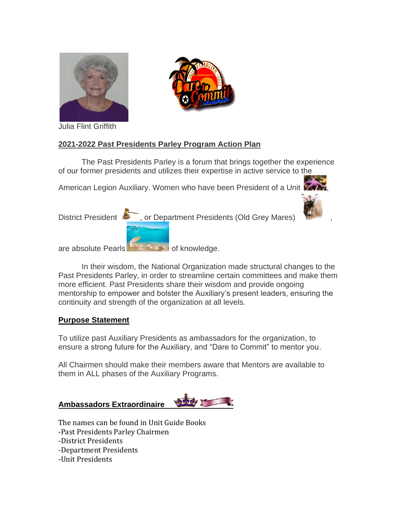



Julia Flint Griffith

# **2021-2022 Past Presidents Parley Program Action Plan**

The Past Presidents Parley is a forum that brings together the experience of our former presidents and utilizes their expertise in active service to the American Legion Auxiliary. Women who have been President of a Unit  $\mathbb{Z}$ District President  $\sim$ , or Department Presidents (Old Grey Mares)

are absolute Pearls of knowledge.

In their wisdom, the National Organization made structural changes to the Past Presidents Parley, in order to streamline certain committees and make them more efficient. Past Presidents share their wisdom and provide ongoing mentorship to empower and bolster the Auxiliary's present leaders, ensuring the continuity and strength of the organization at all levels.

#### **Purpose Statement**

To utilize past Auxiliary Presidents as ambassadors for the organization, to ensure a strong future for the Auxiliary, and "Dare to Commit" to mentor you.

All Chairmen should make their members aware that Mentors are available to them in ALL phases of the Auxiliary Programs.

#### **Ambassadors Extraordinaire**



The names can be found in Unit Guide Books -Past Presidents Parley Chairmen -District Presidents -Department Presidents -Unit Presidents